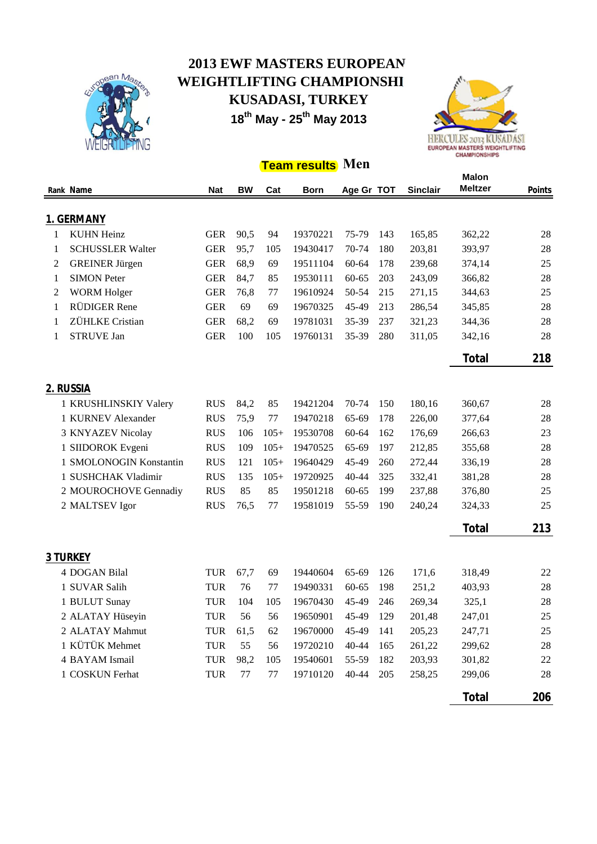

## **2013 EWF MASTERS EUROPEAN WEIGHTLIFTING CHAMPIONSHI KUSADASI, TURKEY 18th May - 25th May 2013**



## **Team results Men**

|   |                         |            |           | <b>Malon</b> |                      |                    |     |                 |                |        |
|---|-------------------------|------------|-----------|--------------|----------------------|--------------------|-----|-----------------|----------------|--------|
|   | Rank Name               | <b>Nat</b> | <b>BW</b> | Cat          | <b>Born</b>          | Age Gr TOT         |     | <b>Sinclair</b> | <b>Meltzer</b> | Points |
|   |                         |            |           |              |                      |                    |     |                 |                |        |
|   | 1. GERMANY              |            |           |              |                      |                    |     |                 |                |        |
| 1 | <b>KUHN Heinz</b>       | <b>GER</b> | 90,5      | 94           | 19370221             | 75-79              | 143 | 165,85          | 362,22         | 28     |
| 1 | <b>SCHUSSLER Walter</b> | <b>GER</b> | 95,7      | 105          | 19430417             | 70-74              | 180 | 203,81          | 393,97         | 28     |
| 2 | <b>GREINER Jürgen</b>   | <b>GER</b> | 68,9      | 69           | 19511104             | 60-64              | 178 | 239,68          | 374,14         | 25     |
| 1 | <b>SIMON Peter</b>      | <b>GER</b> | 84,7      | 85           | 19530111             | 60-65              | 203 | 243,09          | 366,82         | 28     |
| 2 | <b>WORM Holger</b>      | <b>GER</b> | 76,8      | 77           | 19610924             | 50-54              | 215 | 271,15          | 344,63         | 25     |
| 1 | RÜDIGER Rene            | <b>GER</b> | 69        | 69           | 19670325             | 45-49              | 213 | 286,54          | 345,85         | 28     |
| 1 | ZÜHLKE Cristian         | <b>GER</b> | 68,2      | 69           | 19781031             | $35 - 39$          | 237 | 321,23          | 344,36         | 28     |
| 1 | <b>STRUVE Jan</b>       | <b>GER</b> | 100       | 105          | 19760131             | 35-39              | 280 | 311,05          | 342,16         | 28     |
|   |                         |            |           |              |                      |                    |     |                 | Total          | 218    |
|   |                         |            |           |              |                      |                    |     |                 |                |        |
|   | 2. RUSSIA               |            |           |              |                      |                    |     |                 |                |        |
|   | 1 KRUSHLINSKIY Valery   | <b>RUS</b> | 84,2      | 85           | 19421204             | 70-74              | 150 | 180,16          | 360,67         | 28     |
|   | 1 KURNEV Alexander      | <b>RUS</b> | 75,9      | 77           | 19470218             | 65-69              | 178 | 226,00          | 377,64         | 28     |
|   | 3 KNYAZEV Nicolay       | <b>RUS</b> | 106       | $105+$       | 19530708             | $60 - 64$          | 162 | 176,69          | 266,63         | 23     |
|   | 1 SIIDOROK Evgeni       | <b>RUS</b> | 109       | $105+$       | 19470525             | 65-69              | 197 | 212,85          | 355,68         | 28     |
|   | 1 SMOLONOGIN Konstantin | <b>RUS</b> | 121       | $105+$       | 19640429             | 45-49              | 260 | 272,44          | 336,19         | 28     |
|   | 1 SUSHCHAK Vladimir     | <b>RUS</b> | 135       | $105+$       | 19720925             | 40-44              | 325 | 332,41          | 381,28         | 28     |
|   | 2 MOUROCHOVE Gennadiy   | <b>RUS</b> | 85        | 85           | 19501218             | 60-65              | 199 | 237,88          | 376,80         | 25     |
|   | 2 MALTSEV Igor          | <b>RUS</b> | 76,5      | 77           | 19581019             | 55-59              | 190 | 240,24          | 324,33         | 25     |
|   |                         |            |           |              |                      |                    |     |                 | Total          | 213    |
|   | <b>3 TURKEY</b>         |            |           |              |                      |                    |     |                 |                |        |
|   | 4 DOGAN Bilal           | <b>TUR</b> | 67,7      | 69           | 19440604             | 65-69              | 126 | 171,6           | 318,49         | 22     |
|   | 1 SUVAR Salih           | <b>TUR</b> | 76        |              |                      |                    | 198 | 251,2           | 403,93         | 28     |
|   |                         | <b>TUR</b> | 104       | 77<br>105    | 19490331<br>19670430 | $60 - 65$<br>45-49 | 246 | 269,34          |                | 28     |
|   | 1 BULUT Sunay           |            |           |              |                      |                    |     |                 | 325,1          |        |
|   | 2 ALATAY Hüseyin        | <b>TUR</b> | 56        | 56           | 19650901             | 45-49              | 129 | 201,48          | 247,01         | $25\,$ |
|   | 2 ALATAY Mahmut         | <b>TUR</b> | 61,5      | 62           | 19670000             | 45-49              | 141 | 205,23          | 247,71         | 25     |
|   | 1 KÜTÜK Mehmet          | <b>TUR</b> | 55        | 56           | 19720210             | $40 - 44$          | 165 | 261,22          | 299,62         | 28     |
|   | 4 BAYAM Ismail          | <b>TUR</b> | 98,2      | 105          | 19540601             | 55-59              | 182 | 203,93          | 301,82         | 22     |
|   | 1 COSKUN Ferhat         | <b>TUR</b> | 77        | $77 \,$      | 19710120             | 40-44              | 205 | 258,25          | 299,06         | 28     |
|   |                         |            |           |              |                      |                    |     |                 | Total          | 206    |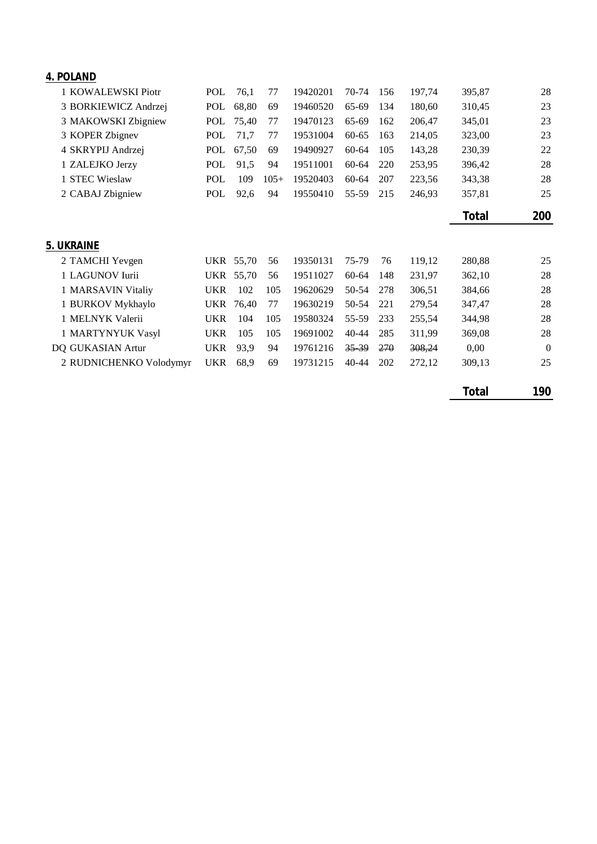| 4. POLAND               |            |           |        |          |           |     |        |        |          |
|-------------------------|------------|-----------|--------|----------|-----------|-----|--------|--------|----------|
| 1 KOWALEWSKI Piotr      | <b>POL</b> | 76,1      | 77     | 19420201 | 70-74     | 156 | 197,74 | 395,87 | 28       |
| 3 BORKIEWICZ Andrzej    | POL        | 68,80     | 69     | 19460520 | 65-69     | 134 | 180,60 | 310,45 | 23       |
| 3 MAKOWSKI Zbigniew     | POL        | 75,40     | 77     | 19470123 | 65-69     | 162 | 206,47 | 345,01 | 23       |
| 3 KOPER Zbignev         | POL        | 71,7      | 77     | 19531004 | $60 - 65$ | 163 | 214,05 | 323,00 | 23       |
| 4 SKRYPIJ Andrzej       | POL        | 67,50     | 69     | 19490927 | $60 - 64$ | 105 | 143,28 | 230,39 | 22       |
| 1 ZALEJKO Jerzy         | <b>POL</b> | 91,5      | 94     | 19511001 | 60-64     | 220 | 253,95 | 396,42 | 28       |
| 1 STEC Wieslaw          | POL        | 109       | $105+$ | 19520403 | $60 - 64$ | 207 | 223,56 | 343,38 | 28       |
| 2 CABAJ Zbigniew        | POL        | 92,6      | 94     | 19550410 | 55-59     | 215 | 246,93 | 357,81 | 25       |
|                         |            |           |        |          |           |     |        | Total  | 200      |
| 5. UKRAINE              |            |           |        |          |           |     |        |        |          |
| 2 TAMCHI Yevgen         |            | UKR 55,70 | 56     | 19350131 | 75-79     | 76  | 119,12 | 280,88 | 25       |
| 1 LAGUNOV Iurii         | <b>UKR</b> | 55,70     | 56     | 19511027 | $60 - 64$ | 148 | 231,97 | 362,10 | 28       |
| 1 MARSAVIN Vitaliy      | <b>UKR</b> | 102       | 105    | 19620629 | 50-54     | 278 | 306,51 | 384,66 | 28       |
| 1 BURKOV Mykhaylo       | <b>UKR</b> | 76,40     | 77     | 19630219 | 50-54     | 221 | 279,54 | 347,47 | 28       |
| 1 MELNYK Valerii        | <b>UKR</b> | 104       | 105    | 19580324 | 55-59     | 233 | 255,54 | 344,98 | 28       |
| 1 MARTYNYUK Vasyl       | <b>UKR</b> | 105       | 105    | 19691002 | 40-44     | 285 | 311,99 | 369,08 | 28       |
| DQ GUKASIAN Artur       | <b>UKR</b> | 93,9      | 94     | 19761216 | $35 - 39$ | 270 | 308,24 | 0,00   | $\theta$ |
| 2 RUDNICHENKO Volodymyr | <b>UKR</b> | 68,9      | 69     | 19731215 | $40 - 44$ | 202 | 272,12 | 309,13 | 25       |
|                         |            |           |        |          |           |     |        | Total  | 190      |